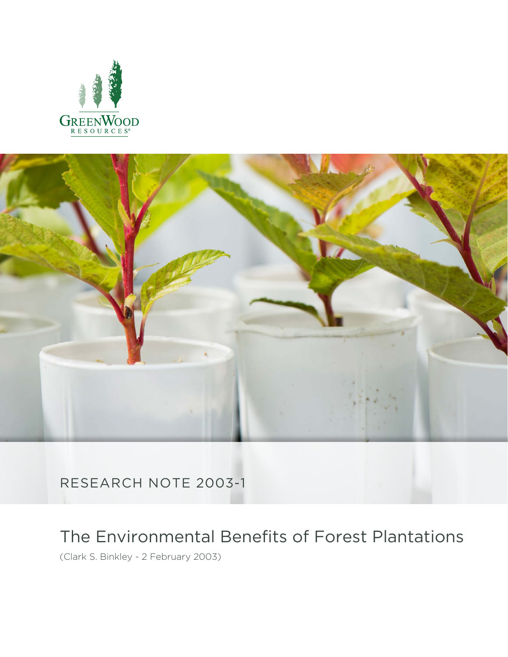



RESEARCH NOTE 2003-1

# The Environmental Benefits of Forest Plantations

(Clark S. Binkley - 2 February 2003)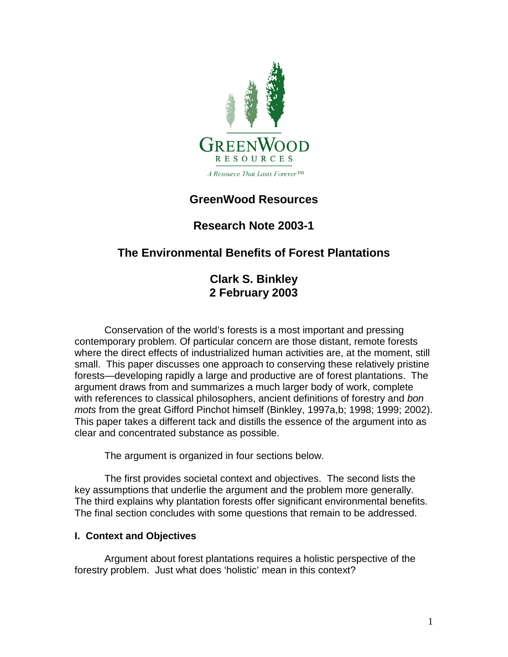

## **GreenWood Resources**

## **Research Note 2003-1**

## **The Environmental Benefits of Forest Plantations**

**Clark S. Binkley 2 February 2003**

Conservation of the world's forests is a most important and pressing contemporary problem. Of particular concern are those distant, remote forests where the direct effects of industrialized human activities are, at the moment, still small. This paper discusses one approach to conserving these relatively pristine forests—developing rapidly a large and productive are of forest plantations. The argument draws from and summarizes a much larger body of work, complete with references to classical philosophers, ancient definitions of forestry and *bon mots* from the great Gifford Pinchot himself (Binkley, 1997a,b; 1998; 1999; 2002). This paper takes a different tack and distills the essence of the argument into as clear and concentrated substance as possible.

The argument is organized in four sections below.

The first provides societal context and objectives. The second lists the key assumptions that underlie the argument and the problem more generally. The third explains why plantation forests offer significant environmental benefits. The final section concludes with some questions that remain to be addressed.

#### **I. Context and Objectives**

Argument about forest plantations requires a holistic perspective of the forestry problem. Just what does 'holistic' mean in this context?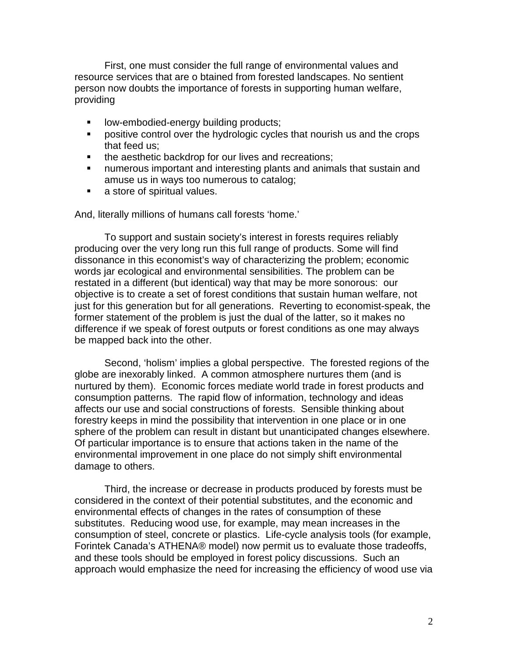First, one must consider the full range of environmental values and resource services that are o btained from forested landscapes. No sentient person now doubts the importance of forests in supporting human welfare, providing

- low-embodied-energy building products;
- positive control over the hydrologic cycles that nourish us and the crops that feed us;
- the aesthetic backdrop for our lives and recreations;
- numerous important and interesting plants and animals that sustain and amuse us in ways too numerous to catalog;
- a store of spiritual values.

And, literally millions of humans call forests 'home.'

To support and sustain society's interest in forests requires reliably producing over the very long run this full range of products. Some will find dissonance in this economist's way of characterizing the problem; economic words jar ecological and environmental sensibilities. The problem can be restated in a different (but identical) way that may be more sonorous: our objective is to create a set of forest conditions that sustain human welfare, not just for this generation but for all generations. Reverting to economist-speak, the former statement of the problem is just the dual of the latter, so it makes no difference if we speak of forest outputs or forest conditions as one may always be mapped back into the other.

Second, 'holism' implies a global perspective. The forested regions of the globe are inexorably linked. A common atmosphere nurtures them (and is nurtured by them). Economic forces mediate world trade in forest products and consumption patterns. The rapid flow of information, technology and ideas affects our use and social constructions of forests. Sensible thinking about forestry keeps in mind the possibility that intervention in one place or in one sphere of the problem can result in distant but unanticipated changes elsewhere. Of particular importance is to ensure that actions taken in the name of the environmental improvement in one place do not simply shift environmental damage to others.

Third, the increase or decrease in products produced by forests must be considered in the context of their potential substitutes, and the economic and environmental effects of changes in the rates of consumption of these substitutes. Reducing wood use, for example, may mean increases in the consumption of steel, concrete or plastics. Life-cycle analysis tools (for example, Forintek Canada's ATHENA® model) now permit us to evaluate those tradeoffs, and these tools should be employed in forest policy discussions. Such an approach would emphasize the need for increasing the efficiency of wood use via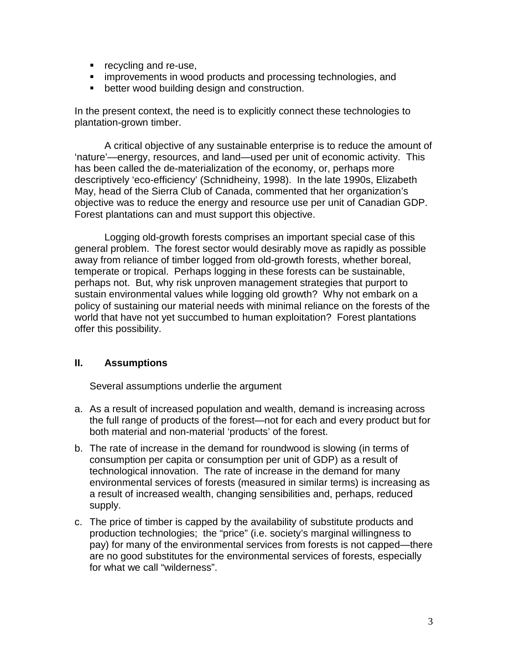- **•** recycling and re-use,
- **EXEDENTIFY IMPROVEMENTS** in wood products and processing technologies, and
- **•** better wood building design and construction.

In the present context, the need is to explicitly connect these technologies to plantation-grown timber.

A critical objective of any sustainable enterprise is to reduce the amount of 'nature'—energy, resources, and land—used per unit of economic activity. This has been called the de-materialization of the economy, or, perhaps more descriptively 'eco-efficiency' (Schnidheiny, 1998). In the late 1990s, Elizabeth May, head of the Sierra Club of Canada, commented that her organization's objective was to reduce the energy and resource use per unit of Canadian GDP. Forest plantations can and must support this objective.

Logging old-growth forests comprises an important special case of this general problem. The forest sector would desirably move as rapidly as possible away from reliance of timber logged from old-growth forests, whether boreal, temperate or tropical. Perhaps logging in these forests can be sustainable, perhaps not. But, why risk unproven management strategies that purport to sustain environmental values while logging old growth? Why not embark on a policy of sustaining our material needs with minimal reliance on the forests of the world that have not yet succumbed to human exploitation? Forest plantations offer this possibility.

#### **II. Assumptions**

Several assumptions underlie the argument

- a. As a result of increased population and wealth, demand is increasing across the full range of products of the forest—not for each and every product but for both material and non-material 'products' of the forest.
- b. The rate of increase in the demand for roundwood is slowing (in terms of consumption per capita or consumption per unit of GDP) as a result of technological innovation. The rate of increase in the demand for many environmental services of forests (measured in similar terms) is increasing as a result of increased wealth, changing sensibilities and, perhaps, reduced supply.
- c. The price of timber is capped by the availability of substitute products and production technologies; the "price" (i.e. society's marginal willingness to pay) for many of the environmental services from forests is not capped—there are no good substitutes for the environmental services of forests, especially for what we call "wilderness".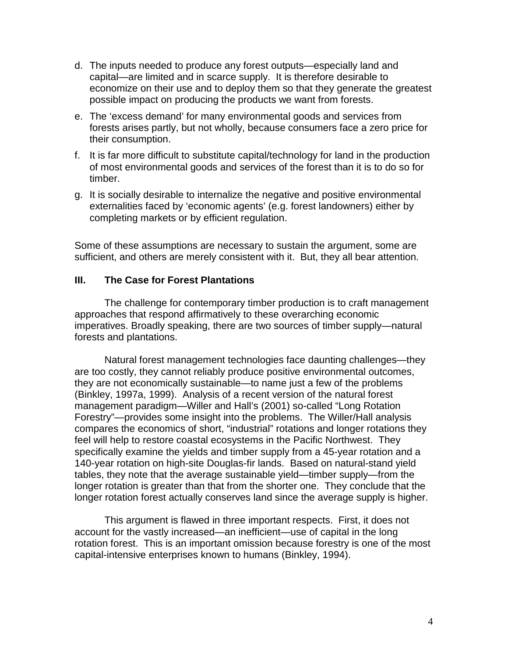- d. The inputs needed to produce any forest outputs—especially land and capital—are limited and in scarce supply. It is therefore desirable to economize on their use and to deploy them so that they generate the greatest possible impact on producing the products we want from forests.
- e. The 'excess demand' for many environmental goods and services from forests arises partly, but not wholly, because consumers face a zero price for their consumption.
- f. It is far more difficult to substitute capital/technology for land in the production of most environmental goods and services of the forest than it is to do so for timber.
- g. It is socially desirable to internalize the negative and positive environmental externalities faced by 'economic agents' (e.g. forest landowners) either by completing markets or by efficient regulation.

Some of these assumptions are necessary to sustain the argument, some are sufficient, and others are merely consistent with it. But, they all bear attention.

#### **III. The Case for Forest Plantations**

The challenge for contemporary timber production is to craft management approaches that respond affirmatively to these overarching economic imperatives. Broadly speaking, there are two sources of timber supply—natural forests and plantations.

Natural forest management technologies face daunting challenges—they are too costly, they cannot reliably produce positive environmental outcomes, they are not economically sustainable—to name just a few of the problems (Binkley, 1997a, 1999). Analysis of a recent version of the natural forest management paradigm—Willer and Hall's (2001) so-called "Long Rotation Forestry"—provides some insight into the problems. The Willer/Hall analysis compares the economics of short, "industrial" rotations and longer rotations they feel will help to restore coastal ecosystems in the Pacific Northwest. They specifically examine the yields and timber supply from a 45-year rotation and a 140-year rotation on high-site Douglas-fir lands. Based on natural-stand yield tables, they note that the average sustainable yield—timber supply—from the longer rotation is greater than that from the shorter one. They conclude that the longer rotation forest actually conserves land since the average supply is higher.

This argument is flawed in three important respects. First, it does not account for the vastly increased—an inefficient—use of capital in the long rotation forest. This is an important omission because forestry is one of the most capital-intensive enterprises known to humans (Binkley, 1994).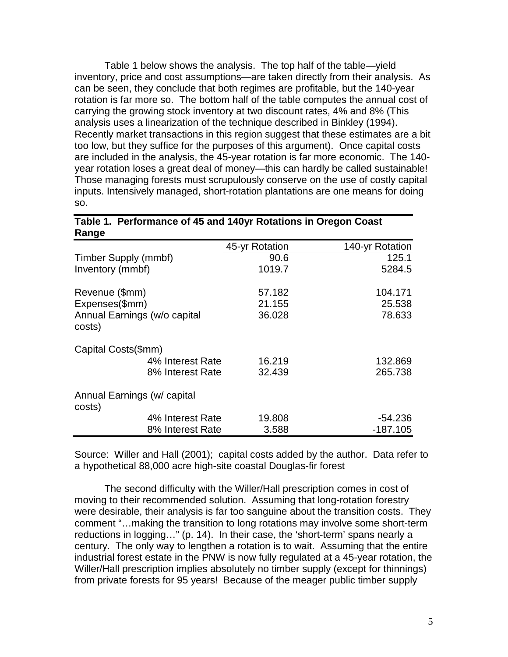Table 1 below shows the analysis. The top half of the table—yield inventory, price and cost assumptions—are taken directly from their analysis. As can be seen, they conclude that both regimes are profitable, but the 140-year rotation is far more so. The bottom half of the table computes the annual cost of carrying the growing stock inventory at two discount rates, 4% and 8% (This analysis uses a linearization of the technique described in Binkley (1994). Recently market transactions in this region suggest that these estimates are a bit too low, but they suffice for the purposes of this argument). Once capital costs are included in the analysis, the 45-year rotation is far more economic. The 140 year rotation loses a great deal of money—this can hardly be called sustainable! Those managing forests must scrupulously conserve on the use of costly capital inputs. Intensively managed, short-rotation plantations are one means for doing so.

| 114196                                 |                |                 |
|----------------------------------------|----------------|-----------------|
|                                        | 45-yr Rotation | 140-yr Rotation |
| Timber Supply (mmbf)                   | 90.6           | 125.1           |
| Inventory (mmbf)                       | 1019.7         | 5284.5          |
| Revenue (\$mm)                         | 57.182         | 104.171         |
| Expenses(\$mm)                         | 21.155         | 25.538          |
| Annual Earnings (w/o capital<br>costs) | 36.028         | 78.633          |
| Capital Costs(\$mm)                    |                |                 |
| 4% Interest Rate                       | 16.219         | 132.869         |
| 8% Interest Rate                       | 32.439         | 265.738         |
| Annual Earnings (w/ capital<br>costs)  |                |                 |
| 4% Interest Rate                       | 19.808         | $-54.236$       |
| 8% Interest Rate                       | 3.588          | $-187.105$      |

**Table 1. Performance of 45 and 140yr Rotations in Oregon Coast Range**

Source: Willer and Hall (2001); capital costs added by the author. Data refer to a hypothetical 88,000 acre high-site coastal Douglas-fir forest

The second difficulty with the Willer/Hall prescription comes in cost of moving to their recommended solution. Assuming that long-rotation forestry were desirable, their analysis is far too sanguine about the transition costs. They comment "…making the transition to long rotations may involve some short-term reductions in logging…" (p. 14). In their case, the 'short-term' spans nearly a century. The only way to lengthen a rotation is to wait. Assuming that the entire industrial forest estate in the PNW is now fully regulated at a 45-year rotation, the Willer/Hall prescription implies absolutely no timber supply (except for thinnings) from private forests for 95 years! Because of the meager public timber supply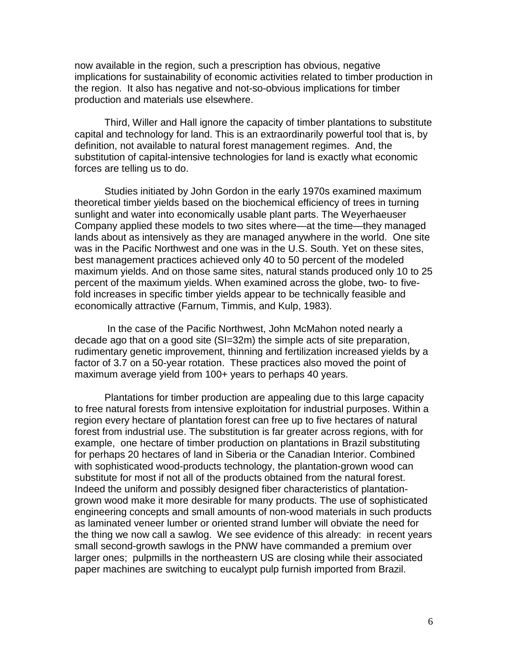now available in the region, such a prescription has obvious, negative implications for sustainability of economic activities related to timber production in the region. It also has negative and not-so-obvious implications for timber production and materials use elsewhere.

Third, Willer and Hall ignore the capacity of timber plantations to substitute capital and technology for land. This is an extraordinarily powerful tool that is, by definition, not available to natural forest management regimes. And, the substitution of capital-intensive technologies for land is exactly what economic forces are telling us to do.

Studies initiated by John Gordon in the early 1970s examined maximum theoretical timber yields based on the biochemical efficiency of trees in turning sunlight and water into economically usable plant parts. The Weyerhaeuser Company applied these models to two sites where—at the time—they managed lands about as intensively as they are managed anywhere in the world. One site was in the Pacific Northwest and one was in the U.S. South. Yet on these sites, best management practices achieved only 40 to 50 percent of the modeled maximum yields. And on those same sites, natural stands produced only 10 to 25 percent of the maximum yields. When examined across the globe, two- to fivefold increases in specific timber yields appear to be technically feasible and economically attractive (Farnum, Timmis, and Kulp, 1983).

In the case of the Pacific Northwest, John McMahon noted nearly a decade ago that on a good site (SI=32m) the simple acts of site preparation, rudimentary genetic improvement, thinning and fertilization increased yields by a factor of 3.7 on a 50-year rotation. These practices also moved the point of maximum average yield from 100+ years to perhaps 40 years.

Plantations for timber production are appealing due to this large capacity to free natural forests from intensive exploitation for industrial purposes. Within a region every hectare of plantation forest can free up to five hectares of natural forest from industrial use. The substitution is far greater across regions, with for example, one hectare of timber production on plantations in Brazil substituting for perhaps 20 hectares of land in Siberia or the Canadian Interior. Combined with sophisticated wood-products technology, the plantation-grown wood can substitute for most if not all of the products obtained from the natural forest. Indeed the uniform and possibly designed fiber characteristics of plantationgrown wood make it more desirable for many products. The use of sophisticated engineering concepts and small amounts of non-wood materials in such products as laminated veneer lumber or oriented strand lumber will obviate the need for the thing we now call a sawlog. We see evidence of this already: in recent years small second-growth sawlogs in the PNW have commanded a premium over larger ones; pulpmills in the northeastern US are closing while their associated paper machines are switching to eucalypt pulp furnish imported from Brazil.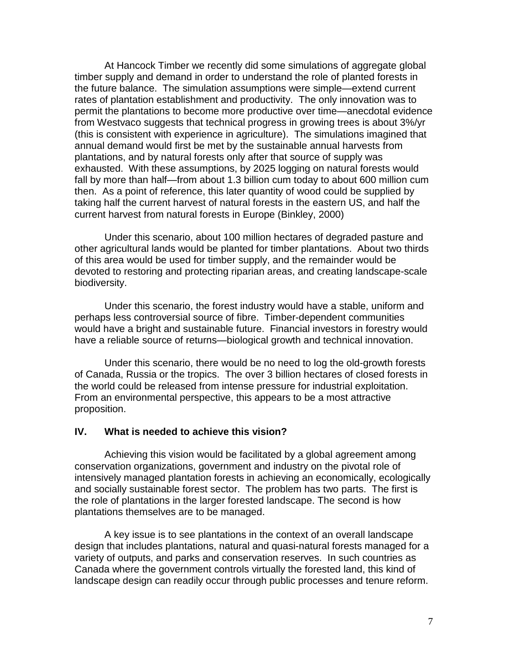At Hancock Timber we recently did some simulations of aggregate global timber supply and demand in order to understand the role of planted forests in the future balance. The simulation assumptions were simple—extend current rates of plantation establishment and productivity. The only innovation was to permit the plantations to become more productive over time—anecdotal evidence from Westvaco suggests that technical progress in growing trees is about 3%/yr (this is consistent with experience in agriculture). The simulations imagined that annual demand would first be met by the sustainable annual harvests from plantations, and by natural forests only after that source of supply was exhausted. With these assumptions, by 2025 logging on natural forests would fall by more than half—from about 1.3 billion cum today to about 600 million cum then. As a point of reference, this later quantity of wood could be supplied by taking half the current harvest of natural forests in the eastern US, and half the current harvest from natural forests in Europe (Binkley, 2000)

Under this scenario, about 100 million hectares of degraded pasture and other agricultural lands would be planted for timber plantations. About two thirds of this area would be used for timber supply, and the remainder would be devoted to restoring and protecting riparian areas, and creating landscape-scale biodiversity.

Under this scenario, the forest industry would have a stable, uniform and perhaps less controversial source of fibre. Timber-dependent communities would have a bright and sustainable future. Financial investors in forestry would have a reliable source of returns—biological growth and technical innovation.

Under this scenario, there would be no need to log the old-growth forests of Canada, Russia or the tropics. The over 3 billion hectares of closed forests in the world could be released from intense pressure for industrial exploitation. From an environmental perspective, this appears to be a most attractive proposition.

#### **IV. What is needed to achieve this vision?**

Achieving this vision would be facilitated by a global agreement among conservation organizations, government and industry on the pivotal role of intensively managed plantation forests in achieving an economically, ecologically and socially sustainable forest sector. The problem has two parts. The first is the role of plantations in the larger forested landscape. The second is how plantations themselves are to be managed.

A key issue is to see plantations in the context of an overall landscape design that includes plantations, natural and quasi-natural forests managed for a variety of outputs, and parks and conservation reserves. In such countries as Canada where the government controls virtually the forested land, this kind of landscape design can readily occur through public processes and tenure reform.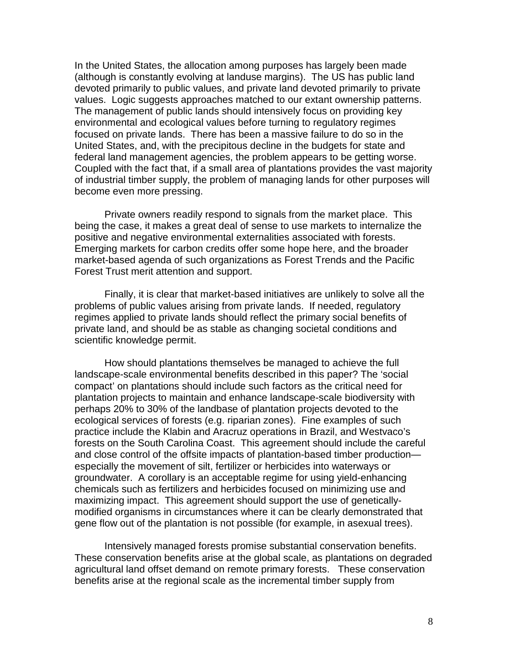In the United States, the allocation among purposes has largely been made (although is constantly evolving at landuse margins). The US has public land devoted primarily to public values, and private land devoted primarily to private values. Logic suggests approaches matched to our extant ownership patterns. The management of public lands should intensively focus on providing key environmental and ecological values before turning to regulatory regimes focused on private lands. There has been a massive failure to do so in the United States, and, with the precipitous decline in the budgets for state and federal land management agencies, the problem appears to be getting worse. Coupled with the fact that, if a small area of plantations provides the vast majority of industrial timber supply, the problem of managing lands for other purposes will become even more pressing.

Private owners readily respond to signals from the market place. This being the case, it makes a great deal of sense to use markets to internalize the positive and negative environmental externalities associated with forests. Emerging markets for carbon credits offer some hope here, and the broader market-based agenda of such organizations as Forest Trends and the Pacific Forest Trust merit attention and support.

Finally, it is clear that market-based initiatives are unlikely to solve all the problems of public values arising from private lands. If needed, regulatory regimes applied to private lands should reflect the primary social benefits of private land, and should be as stable as changing societal conditions and scientific knowledge permit.

How should plantations themselves be managed to achieve the full landscape-scale environmental benefits described in this paper? The 'social compact' on plantations should include such factors as the critical need for plantation projects to maintain and enhance landscape-scale biodiversity with perhaps 20% to 30% of the landbase of plantation projects devoted to the ecological services of forests (e.g. riparian zones). Fine examples of such practice include the Klabin and Aracruz operations in Brazil, and Westvaco's forests on the South Carolina Coast. This agreement should include the careful and close control of the offsite impacts of plantation-based timber production especially the movement of silt, fertilizer or herbicides into waterways or groundwater. A corollary is an acceptable regime for using yield-enhancing chemicals such as fertilizers and herbicides focused on minimizing use and maximizing impact. This agreement should support the use of geneticallymodified organisms in circumstances where it can be clearly demonstrated that gene flow out of the plantation is not possible (for example, in asexual trees).

Intensively managed forests promise substantial conservation benefits. These conservation benefits arise at the global scale, as plantations on degraded agricultural land offset demand on remote primary forests. These conservation benefits arise at the regional scale as the incremental timber supply from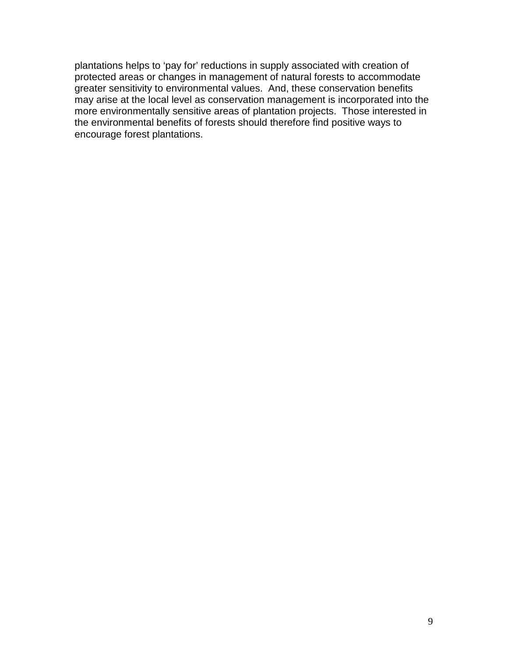plantations helps to 'pay for' reductions in supply associated with creation of protected areas or changes in management of natural forests to accommodate greater sensitivity to environmental values. And, these conservation benefits may arise at the local level as conservation management is incorporated into the more environmentally sensitive areas of plantation projects. Those interested in the environmental benefits of forests should therefore find positive ways to encourage forest plantations.